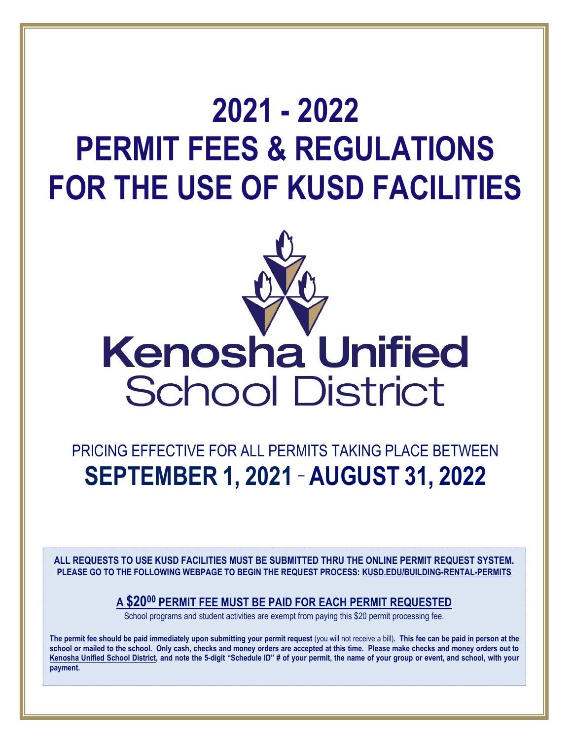# 2021 - 2022 PERMIT FEES & REGULATIONS FOR THE USE OF KUSD FACILITIES



# PRICING EFFECTIVE FOR ALL PERMITS TAKING PLACE BETWEEN SEPTEMBER 1, 2021 – AUGUST 31, 2022

ALL REQUESTS TO USE KUSD FACILITIES MUST BE SUBMITTED THRU THE ONLINE PERMIT REQUEST SYSTEM. PLEASE GO TO THE FOLLOWING WEBPAGE TO BEGIN THE REQUEST PROCESS: KUSD.EDU/BUILDING-RENTAL-PERMITS

# A \$20<sup>00</sup> PERMIT FEE MUST BE PAID FOR EACH PERMIT REQUESTED

School programs and student activities are exempt from paying this \$20 permit processing fee.

The permit fee should be paid immediately upon submitting your permit request (you will not receive a bill). This fee can be paid in person at the school or mailed to the school. Only cash, checks and money orders are accepted at this time. Please make checks and money orders out to Kenosha Unified School District, and note the 5-digit "Schedule ID" # of your permit, the name of your group or event, and school, with your payment.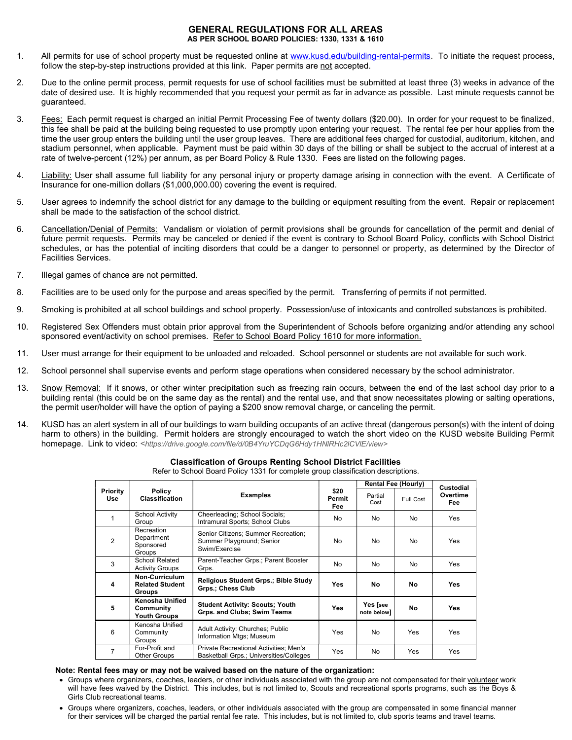#### GENERAL REGULATIONS FOR ALL AREAS AS PER SCHOOL BOARD POLICIES: 1330, 1331 & 1610

- 1. All permits for use of school property must be requested online at www.kusd.edu/building-rental-permits. To initiate the request process, follow the step-by-step instructions provided at this link. Paper permits are not accepted.
- 2. Due to the online permit process, permit requests for use of school facilities must be submitted at least three (3) weeks in advance of the date of desired use. It is highly recommended that you request your permit as far in advance as possible. Last minute requests cannot be guaranteed.
- 3. Fees: Each permit request is charged an initial Permit Processing Fee of twenty dollars (\$20.00). In order for your request to be finalized, this fee shall be paid at the building being requested to use promptly upon entering your request. The rental fee per hour applies from the time the user group enters the building until the user group leaves. There are additional fees charged for custodial, auditorium, kitchen, and stadium personnel, when applicable. Payment must be paid within 30 days of the billing or shall be subject to the accrual of interest at a rate of twelve-percent (12%) per annum, as per Board Policy & Rule 1330. Fees are listed on the following pages.
- 4. Liability: User shall assume full liability for any personal injury or property damage arising in connection with the event. A Certificate of Insurance for one-million dollars (\$1,000,000.00) covering the event is required.
- 5. User agrees to indemnify the school district for any damage to the building or equipment resulting from the event. Repair or replacement shall be made to the satisfaction of the school district.
- 6. Cancellation/Denial of Permits: Vandalism or violation of permit provisions shall be grounds for cancellation of the permit and denial of future permit requests. Permits may be canceled or denied if the event is contrary to School Board Policy, conflicts with School District schedules, or has the potential of inciting disorders that could be a danger to personnel or property, as determined by the Director of Facilities Services.
- 7. Illegal games of chance are not permitted.
- 8. Facilities are to be used only for the purpose and areas specified by the permit. Transferring of permits if not permitted.
- 9. Smoking is prohibited at all school buildings and school property. Possession/use of intoxicants and controlled substances is prohibited.
- 10. Registered Sex Offenders must obtain prior approval from the Superintendent of Schools before organizing and/or attending any school sponsored event/activity on school premises. Refer to School Board Policy 1610 for more information.
- 11. User must arrange for their equipment to be unloaded and reloaded. School personnel or students are not available for such work.
- 12. School personnel shall supervise events and perform stage operations when considered necessary by the school administrator.
- 13. Snow Removal: If it snows, or other winter precipitation such as freezing rain occurs, between the end of the last school day prior to a building rental (this could be on the same day as the rental) and the rental use, and that snow necessitates plowing or salting operations, the permit user/holder will have the option of paying a \$200 snow removal charge, or canceling the permit.
- 14. KUSD has an alert system in all of our buildings to warn building occupants of an active threat (dangerous person(s) with the intent of doing harm to others) in the building. Permit holders are strongly encouraged to watch the short video on the KUSD website Building Permit homepage. Link to video: <https://drive.google.com/file/d/0B4YruYCDgG6Hdy1HNlRHc2lCVlE/view>

| or to borroor Board rightly room for complete group classmoation accomptions. |                                                           |                                                                                   |                       |                            |           |                  |
|-------------------------------------------------------------------------------|-----------------------------------------------------------|-----------------------------------------------------------------------------------|-----------------------|----------------------------|-----------|------------------|
|                                                                               | Policy<br><b>Classification</b>                           | <b>Examples</b>                                                                   | \$20<br>Permit<br>Fee | <b>Rental Fee (Hourly)</b> |           | <b>Custodial</b> |
| <b>Priority</b><br>Use                                                        |                                                           |                                                                                   |                       | Partial<br>Cost            | Full Cost | Overtime<br>Fee  |
| 1                                                                             | <b>School Activity</b><br>Group                           | Cheerleading; School Socials;<br>Intramural Sports; School Clubs                  | No                    | No                         | No        | Yes              |
| 2                                                                             | Recreation<br>Department<br>Sponsored<br>Groups           | Senior Citizens; Summer Recreation;<br>Summer Playground; Senior<br>Swim/Exercise | No.                   | No.                        | No        | Yes              |
| 3                                                                             | School Related<br><b>Activity Groups</b>                  | Parent-Teacher Grps.; Parent Booster<br>Grps.                                     | No                    | No                         | No        | Yes              |
| 4                                                                             | Non-Curriculum<br><b>Related Student</b><br><b>Groups</b> | Religious Student Grps.; Bible Study<br><b>Grps.: Chess Club</b>                  | Yes                   | No                         | No        | <b>Yes</b>       |
| 5                                                                             | Kenosha Unified<br>Community<br><b>Youth Groups</b>       | <b>Student Activity: Scouts; Youth</b><br>Grps. and Clubs; Swim Teams             | Yes                   | Yes [see<br>note below]    | No        | <b>Yes</b>       |
| 6                                                                             | Kenosha Unified<br>Community<br>Groups                    | Adult Activity: Churches; Public<br>Information Mtgs; Museum                      | Yes                   | No                         | Yes       | Yes              |
| 7                                                                             | For-Profit and<br><b>Other Groups</b>                     | Private Recreational Activities; Men's<br>Basketball Grps.; Universities/Colleges | Yes                   | No                         | Yes       | Yes              |

#### Classification of Groups Renting School District Facilities

Refer to School Board Policy 1331 for complete group classification descriptions.

#### Note: Rental fees may or may not be waived based on the nature of the organization:

- Groups where organizers, coaches, leaders, or other individuals associated with the group are not compensated for their volunteer work will have fees waived by the District. This includes, but is not limited to, Scouts and recreational sports programs, such as the Boys & Girls Club recreational teams.
- Groups where organizers, coaches, leaders, or other individuals associated with the group are compensated in some financial manner for their services will be charged the partial rental fee rate. This includes, but is not limited to, club sports teams and travel teams.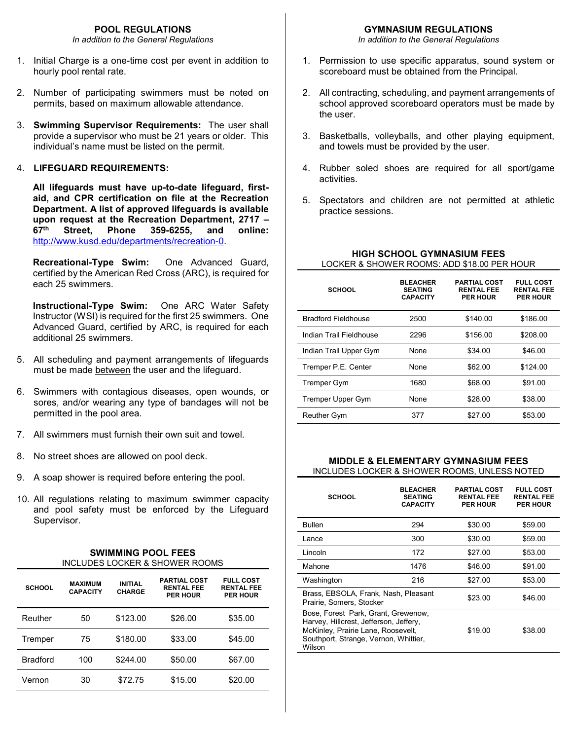In addition to the General Regulations

- 1. Initial Charge is a one-time cost per event in addition to hourly pool rental rate.
- 2. Number of participating swimmers must be noted on permits, based on maximum allowable attendance.
- 3. Swimming Supervisor Requirements: The user shall provide a supervisor who must be 21 years or older. This individual's name must be listed on the permit.

#### 4. LIFEGUARD REQUIREMENTS:

All lifeguards must have up-to-date lifeguard, firstaid, and CPR certification on file at the Recreation Department. A list of approved lifeguards is available upon request at the Recreation Department, 2717 – 67th Street, Phone 359-6255, and online: http://www.kusd.edu/departments/recreation-0.

Recreational-Type Swim: One Advanced Guard, certified by the American Red Cross (ARC), is required for each 25 swimmers.

Instructional-Type Swim: One ARC Water Safety Instructor (WSI) is required for the first 25 swimmers. One Advanced Guard, certified by ARC, is required for each additional 25 swimmers.

- 5. All scheduling and payment arrangements of lifeguards must be made between the user and the lifeguard.
- 6. Swimmers with contagious diseases, open wounds, or sores, and/or wearing any type of bandages will not be permitted in the pool area.
- 7. All swimmers must furnish their own suit and towel.
- 8. No street shoes are allowed on pool deck.
- 9. A soap shower is required before entering the pool.
- 10. All regulations relating to maximum swimmer capacity and pool safety must be enforced by the Lifeguard Supervisor.

| <b>SWIMMING POOL FEES</b>      |
|--------------------------------|
| INCLUDES LOCKER & SHOWER ROOMS |

| <b>SCHOOL</b>   | <b>MAXIMUM</b><br><b>CAPACITY</b> | <b>INITIAL</b><br><b>CHARGE</b> | <b>PARTIAL COST</b><br><b>RENTAL FEE</b><br><b>PER HOUR</b> | <b>FULL COST</b><br><b>RENTAL FEE</b><br><b>PER HOUR</b> |
|-----------------|-----------------------------------|---------------------------------|-------------------------------------------------------------|----------------------------------------------------------|
| Reuther         | 50                                | \$123.00                        | \$26.00                                                     | \$35.00                                                  |
| Tremper         | 75                                | \$180.00                        | \$33.00                                                     | \$45.00                                                  |
| <b>Bradford</b> | 100                               | \$244.00                        | \$50.00                                                     | \$67.00                                                  |
| Vernon          | 30                                | \$72.75                         | \$15.00                                                     | \$20.00                                                  |

In addition to the General Regulations

- 1. Permission to use specific apparatus, sound system or scoreboard must be obtained from the Principal.
- 2. All contracting, scheduling, and payment arrangements of school approved scoreboard operators must be made by the user.
- 3. Basketballs, volleyballs, and other playing equipment, and towels must be provided by the user.
- 4. Rubber soled shoes are required for all sport/game activities.
- 5. Spectators and children are not permitted at athletic practice sessions.

| LOCKER & SHOWER ROOMS: ADD \$18.00 PER HOUR |                                                      |                                                             |                                                          |  |  |
|---------------------------------------------|------------------------------------------------------|-------------------------------------------------------------|----------------------------------------------------------|--|--|
| <b>SCHOOL</b>                               | <b>BLEACHER</b><br><b>SEATING</b><br><b>CAPACITY</b> | <b>PARTIAL COST</b><br><b>RENTAL FEE</b><br><b>PER HOUR</b> | <b>FULL COST</b><br><b>RENTAL FEE</b><br><b>PER HOUR</b> |  |  |
| <b>Bradford Fieldhouse</b>                  | 2500                                                 | \$140.00                                                    | \$186.00                                                 |  |  |
| Indian Trail Fieldhouse                     | 2296                                                 | \$156.00                                                    | \$208.00                                                 |  |  |
| Indian Trail Upper Gym                      | None                                                 | \$34.00                                                     | \$46.00                                                  |  |  |
| Tremper P.E. Center                         | None                                                 | \$62.00                                                     | \$124.00                                                 |  |  |
| <b>Tremper Gym</b>                          | 1680                                                 | \$68.00                                                     | \$91.00                                                  |  |  |
| <b>Tremper Upper Gym</b>                    | None                                                 | \$28.00                                                     | \$38.00                                                  |  |  |
| <b>Reuther Gym</b>                          | 377                                                  | \$27.00                                                     | \$53.00                                                  |  |  |

### HIGH SCHOOL GYMNASIUM FEES LOCKER & SHOWER ROOMS: ADD \$18.00 PER HOUR

#### MIDDLE & ELEMENTARY GYMNASIUM FEES INCLUDES LOCKER & SHOWER ROOMS, UNLESS NOTED

| <b>SCHOOL</b>                                                                                                                                                          | <b>BLEACHER</b><br><b>SEATING</b><br><b>CAPACITY</b> | <b>PARTIAL COST</b><br><b>RENTAL FEE</b><br><b>PER HOUR</b> | <b>FULL COST</b><br><b>RENTAL FEE</b><br><b>PER HOUR</b> |
|------------------------------------------------------------------------------------------------------------------------------------------------------------------------|------------------------------------------------------|-------------------------------------------------------------|----------------------------------------------------------|
| <b>Bullen</b>                                                                                                                                                          | 294                                                  | \$30.00                                                     | \$59.00                                                  |
| Lance                                                                                                                                                                  | 300                                                  | \$30.00                                                     | \$59.00                                                  |
| Lincoln                                                                                                                                                                | 172                                                  | \$27.00                                                     | \$53.00                                                  |
| Mahone                                                                                                                                                                 | 1476                                                 | \$46.00                                                     | \$91.00                                                  |
| Washington                                                                                                                                                             | 216                                                  | \$27.00                                                     | \$53.00                                                  |
| Brass, EBSOLA, Frank, Nash, Pleasant<br>Prairie, Somers, Stocker                                                                                                       |                                                      | \$23.00                                                     | \$46.00                                                  |
| Bose, Forest Park, Grant, Grewenow,<br>Harvey, Hillcrest, Jefferson, Jeffery,<br>McKinley, Prairie Lane, Roosevelt,<br>Southport, Strange, Vernon, Whittier,<br>Wilson |                                                      | \$19.00                                                     | \$38.00                                                  |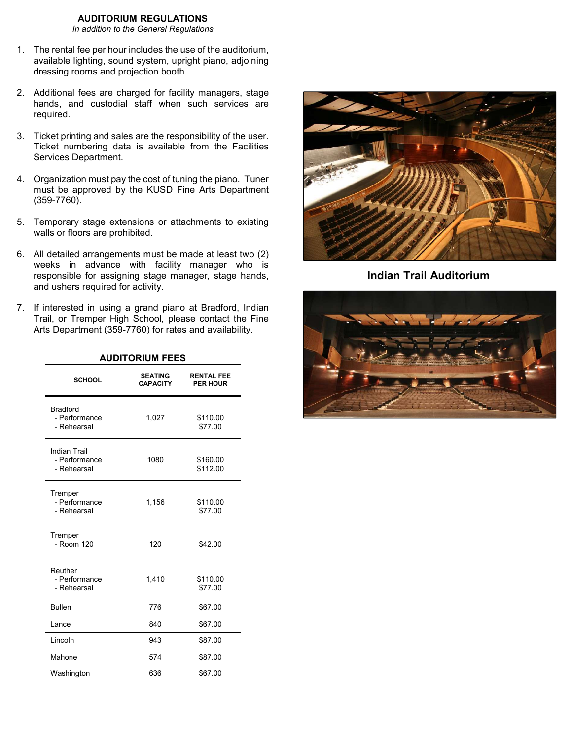#### AUDITORIUM REGULATIONS

In addition to the General Regulations

- 1. The rental fee per hour includes the use of the auditorium, available lighting, sound system, upright piano, adjoining dressing rooms and projection booth.
- 2. Additional fees are charged for facility managers, stage hands, and custodial staff when such services are required.
- 3. Ticket printing and sales are the responsibility of the user. Ticket numbering data is available from the Facilities Services Department.
- 4. Organization must pay the cost of tuning the piano. Tuner must be approved by the KUSD Fine Arts Department (359-7760).
- 5. Temporary stage extensions or attachments to existing walls or floors are prohibited.
- 6. All detailed arrangements must be made at least two (2) weeks in advance with facility manager who is responsible for assigning stage manager, stage hands, and ushers required for activity.
- 7. If interested in using a grand piano at Bradford, Indian Trail, or Tremper High School, please contact the Fine Arts Department (359-7760) for rates and availability.

AUDITORIUM FEES

| <b>SEATING</b><br><b>CAPACITY</b> | <b>RENTAL FEE</b><br><b>PER HOUR</b> |
|-----------------------------------|--------------------------------------|
| 1,027                             | \$110.00<br>\$77.00                  |
| 1080                              | \$160.00<br>\$112.00                 |
| 1,156                             | \$110.00<br>\$77.00                  |
| 120                               | \$42.00                              |
| 1,410                             | \$110.00<br>\$77.00                  |
| 776                               | \$67.00                              |
| 840                               | \$67.00                              |
| 943                               | \$87.00                              |
| 574                               | \$87.00                              |
| 636                               | \$67.00                              |
|                                   |                                      |



Indian Trail Auditorium

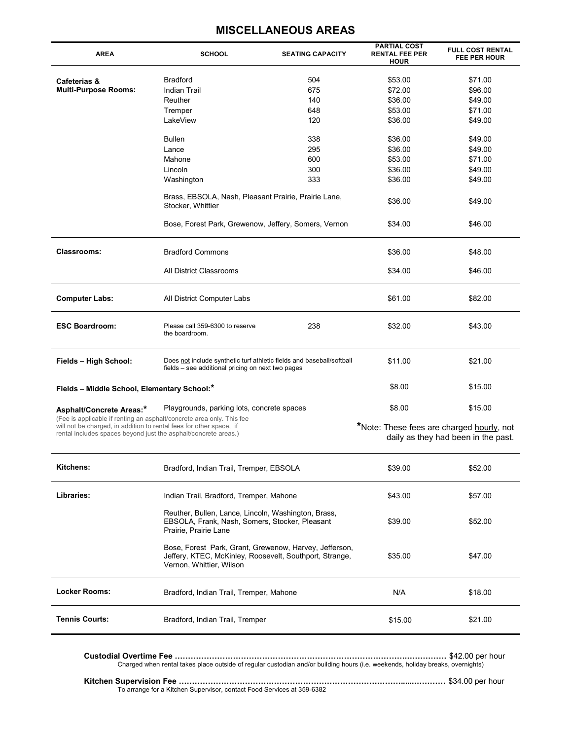| <b>AREA</b>                                                                                                                            | <b>SCHOOL</b>                                                                                                                                 | <b>SEATING CAPACITY</b> | <b>PARTIAL COST</b><br><b>RENTAL FEE PER</b><br><b>HOUR</b> | <b>FULL COST RENTAL</b><br><b>FEE PER HOUR</b> |
|----------------------------------------------------------------------------------------------------------------------------------------|-----------------------------------------------------------------------------------------------------------------------------------------------|-------------------------|-------------------------------------------------------------|------------------------------------------------|
|                                                                                                                                        | <b>Bradford</b>                                                                                                                               | 504                     | \$53.00                                                     | \$71.00                                        |
| Cafeterias &                                                                                                                           |                                                                                                                                               |                         |                                                             |                                                |
| <b>Multi-Purpose Rooms:</b>                                                                                                            | Indian Trail                                                                                                                                  | 675                     | \$72.00                                                     | \$96.00                                        |
|                                                                                                                                        | Reuther                                                                                                                                       | 140                     | \$36.00                                                     | \$49.00                                        |
|                                                                                                                                        | Tremper                                                                                                                                       | 648                     | \$53.00                                                     | \$71.00                                        |
|                                                                                                                                        | LakeView                                                                                                                                      | 120                     | \$36.00                                                     | \$49.00                                        |
|                                                                                                                                        | Bullen                                                                                                                                        | 338                     | \$36.00                                                     | \$49.00                                        |
|                                                                                                                                        | Lance                                                                                                                                         | 295                     | \$36.00                                                     | \$49.00                                        |
|                                                                                                                                        | Mahone                                                                                                                                        | 600                     | \$53.00                                                     | \$71.00                                        |
|                                                                                                                                        | Lincoln                                                                                                                                       | 300                     | \$36.00                                                     | \$49.00                                        |
|                                                                                                                                        | Washington                                                                                                                                    | 333                     | \$36.00                                                     | \$49.00                                        |
|                                                                                                                                        |                                                                                                                                               |                         |                                                             |                                                |
|                                                                                                                                        | Brass, EBSOLA, Nash, Pleasant Prairie, Prairie Lane,<br>Stocker, Whittier                                                                     |                         | \$36.00                                                     | \$49.00                                        |
|                                                                                                                                        | Bose, Forest Park, Grewenow, Jeffery, Somers, Vernon                                                                                          |                         | \$34.00                                                     | \$46.00                                        |
| <b>Classrooms:</b>                                                                                                                     | <b>Bradford Commons</b>                                                                                                                       |                         | \$36.00                                                     | \$48.00                                        |
|                                                                                                                                        | All District Classrooms                                                                                                                       |                         | \$34.00                                                     | \$46.00                                        |
| <b>Computer Labs:</b>                                                                                                                  | All District Computer Labs                                                                                                                    |                         | \$61.00                                                     | \$82.00                                        |
| <b>ESC Boardroom:</b>                                                                                                                  | Please call 359-6300 to reserve<br>the boardroom.                                                                                             | 238                     | \$32.00                                                     | \$43.00                                        |
| Fields - High School:                                                                                                                  | Does not include synthetic turf athletic fields and baseball/softball<br>fields - see additional pricing on next two pages                    |                         | \$11.00                                                     | \$21.00                                        |
| Fields - Middle School, Elementary School:*                                                                                            |                                                                                                                                               |                         | \$8.00                                                      | \$15.00                                        |
| Asphalt/Concrete Areas:*<br>(Fee is applicable if renting an asphalt/concrete area only. This fee                                      | Playgrounds, parking lots, concrete spaces                                                                                                    |                         | \$8.00                                                      | \$15.00                                        |
| will not be charged, in addition to rental fees for other space, if<br>rental includes spaces beyond just the asphalt/concrete areas.) |                                                                                                                                               |                         | *Note: These fees are charged hourly, not                   | daily as they had been in the past.            |
| Kitchens:                                                                                                                              | Bradford, Indian Trail, Tremper, EBSOLA                                                                                                       |                         | \$39.00                                                     | \$52.00                                        |
| Libraries:                                                                                                                             | Indian Trail, Bradford, Tremper, Mahone                                                                                                       |                         | \$43.00                                                     | \$57.00                                        |
|                                                                                                                                        | Reuther, Bullen, Lance, Lincoln, Washington, Brass,<br>EBSOLA, Frank, Nash, Somers, Stocker, Pleasant<br>Prairie, Prairie Lane                |                         | \$39.00                                                     | \$52.00                                        |
|                                                                                                                                        | Bose, Forest Park, Grant, Grewenow, Harvey, Jefferson,<br>Jeffery, KTEC, McKinley, Roosevelt, Southport, Strange,<br>Vernon, Whittier, Wilson |                         | \$35.00                                                     | \$47.00                                        |
| <b>Locker Rooms:</b>                                                                                                                   | Bradford, Indian Trail, Tremper, Mahone                                                                                                       |                         | N/A                                                         | \$18.00                                        |
| <b>Tennis Courts:</b>                                                                                                                  | Bradford, Indian Trail, Tremper                                                                                                               |                         | \$15.00                                                     | \$21.00                                        |
|                                                                                                                                        | Charged when rental takes place outside of regular custodian and/or building hours (i.e. weekends, holiday breaks, overnights)                |                         |                                                             |                                                |

# MISCELLANEOUS AREAS

Kitchen Supervision Fee …………………………………………………………………………......………… \$34.00 per hour To arrange for a Kitchen Supervisor, contact Food Services at 359-6382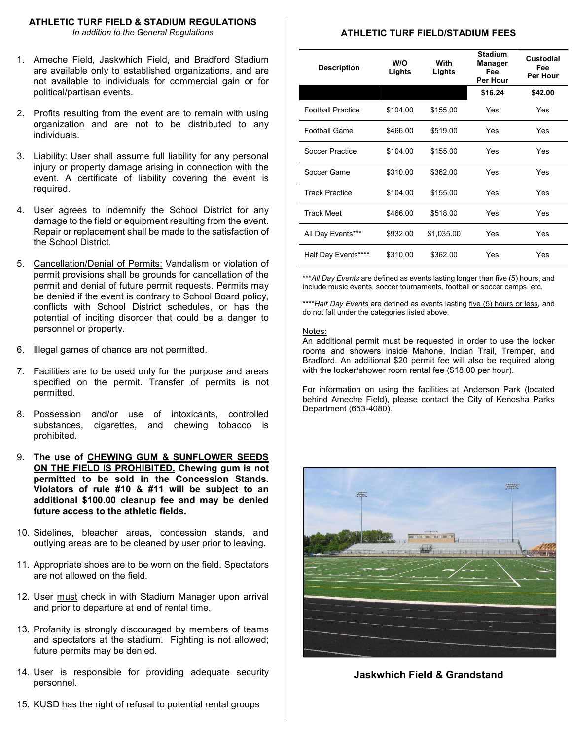#### ATHLETIC TURF FIELD & STADIUM REGULATIONS

In addition to the General Regulations

- 1. Ameche Field, Jaskwhich Field, and Bradford Stadium are available only to established organizations, and are not available to individuals for commercial gain or for political/partisan events.
- 2. Profits resulting from the event are to remain with using organization and are not to be distributed to any individuals.
- 3. Liability: User shall assume full liability for any personal injury or property damage arising in connection with the event. A certificate of liability covering the event is required.
- 4. User agrees to indemnify the School District for any damage to the field or equipment resulting from the event. Repair or replacement shall be made to the satisfaction of the School District.
- 5. Cancellation/Denial of Permits: Vandalism or violation of permit provisions shall be grounds for cancellation of the permit and denial of future permit requests. Permits may be denied if the event is contrary to School Board policy, conflicts with School District schedules, or has the potential of inciting disorder that could be a danger to personnel or property.
- 6. Illegal games of chance are not permitted.
- 7. Facilities are to be used only for the purpose and areas specified on the permit. Transfer of permits is not permitted.
- 8. Possession and/or use of intoxicants, controlled substances, cigarettes, and chewing tobacco is prohibited.
- 9. The use of CHEWING GUM & SUNFLOWER SEEDS ON THE FIELD IS PROHIBITED. Chewing gum is not permitted to be sold in the Concession Stands. Violators of rule #10 & #11 will be subject to an additional \$100.00 cleanup fee and may be denied future access to the athletic fields.
- 10. Sidelines, bleacher areas, concession stands, and outlying areas are to be cleaned by user prior to leaving.
- 11. Appropriate shoes are to be worn on the field. Spectators are not allowed on the field.
- 12. User must check in with Stadium Manager upon arrival and prior to departure at end of rental time.
- 13. Profanity is strongly discouraged by members of teams and spectators at the stadium. Fighting is not allowed; future permits may be denied.
- 14. User is responsible for providing adequate security personnel.
- 15. KUSD has the right of refusal to potential rental groups

#### ATHLETIC TURF FIELD/STADIUM FEES

| <b>Description</b>       | W/O<br>Lights | With<br>Lights | <b>Stadium</b><br><b>Manager</b><br>Fee<br>Per Hour | Custodial<br>Fee<br>Per Hour |
|--------------------------|---------------|----------------|-----------------------------------------------------|------------------------------|
|                          |               |                | \$16.24                                             | \$42.00                      |
| <b>Football Practice</b> | \$104.00      | \$155.00       | Yes                                                 | Yes                          |
| <b>Football Game</b>     | \$466.00      | \$519.00       | Yes                                                 | Yes                          |
| Soccer Practice          | \$104.00      | \$155.00       | Yes                                                 | Yes                          |
| Soccer Game              | \$310.00      | \$362.00       | Yes                                                 | Yes                          |
| <b>Track Practice</b>    | \$104.00      | \$155.00       | Yes                                                 | Yes                          |
| <b>Track Meet</b>        | \$466.00      | \$518.00       | Yes                                                 | Yes                          |
| All Day Events***        | \$932.00      | \$1,035.00     | Yes                                                 | Yes                          |
| Half Day Events****      | \$310.00      | \$362.00       | Yes                                                 | Yes                          |

\*\*\* All Day Events are defined as events lasting longer than five (5) hours, and include music events, soccer tournaments, football or soccer camps, etc.

\*\*\*\*Half Day Events are defined as events lasting five (5) hours or less, and do not fall under the categories listed above.

#### Notes:

An additional permit must be requested in order to use the locker rooms and showers inside Mahone, Indian Trail, Tremper, and Bradford. An additional \$20 permit fee will also be required along with the locker/shower room rental fee (\$18.00 per hour).

For information on using the facilities at Anderson Park (located behind Ameche Field), please contact the City of Kenosha Parks Department (653-4080).



Jaskwhich Field & Grandstand